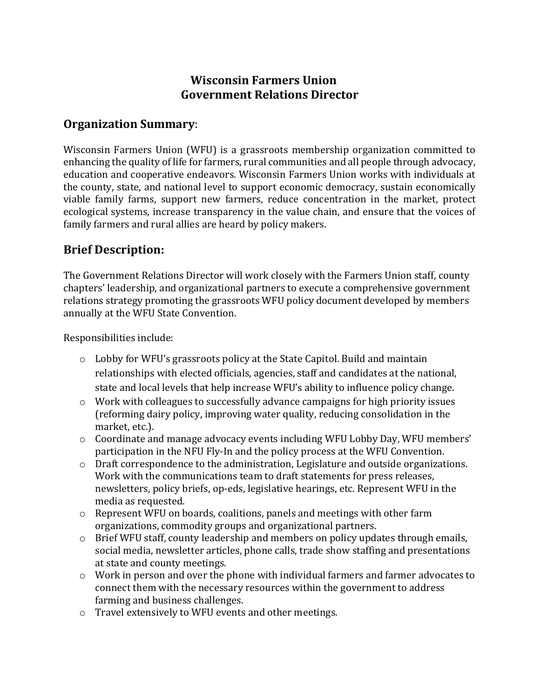## Wisconsin Farmers Union Government Relations Director

#### Organization Summary:

Wisconsin Farmers Union (WFU) is a grassroots membership organization committed to enhancing the quality of life for farmers, rural communities and all people through advocacy, education and cooperative endeavors. Wisconsin Farmers Union works with individuals at the county, state, and national level to support economic democracy, sustain economically viable family farms, support new farmers, reduce concentration in the market, protect ecological systems, increase transparency in the value chain, and ensure that the voices of family farmers and rural allies are heard by policy makers.

# Brief Description:

The Government Relations Director will work closely with the Farmers Union staff, county chapters' leadership, and organizational partners to execute a comprehensive government relations strategy promoting the grassroots WFU policy document developed by members annually at the WFU State Convention.

Responsibilities include:

- o Lobby for WFU's grassroots policy at the State Capitol. Build and maintain relationships with elected officials, agencies, staff and candidates at the national, state and local levels that help increase WFU's ability to influence policy change.
- $\circ$  Work with colleagues to successfully advance campaigns for high priority issues (reforming dairy policy, improving water quality, reducing consolidation in the market, etc.).
- $\circ$  Coordinate and manage advocacy events including WFU Lobby Day, WFU members' participation in the NFU Fly-In and the policy process at the WFU Convention.
- o Draft correspondence to the administration, Legislature and outside organizations. Work with the communications team to draft statements for press releases, newsletters, policy briefs, op-eds, legislative hearings, etc. Represent WFU in the media as requested.
- o Represent WFU on boards, coalitions, panels and meetings with other farm organizations, commodity groups and organizational partners.
- o Brief WFU staff, county leadership and members on policy updates through emails, social media, newsletter articles, phone calls, trade show staffing and presentations at state and county meetings.
- o Work in person and over the phone with individual farmers and farmer advocates to connect them with the necessary resources within the government to address farming and business challenges.
- o Travel extensively to WFU events and other meetings.